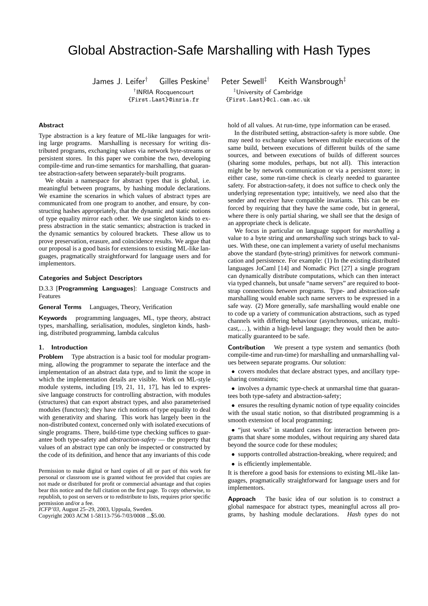# Global Abstraction-Safe Marshalling with Hash Types

James J. Leifer<sup>†</sup> Gilles Peskine<sup>†</sup> Peter Sewell<sup>‡</sup> Keith Wansbrough<sup>‡</sup>

<sup>†</sup>INRIA Rocquencourt

# Abstract

Type abstraction is a key feature of ML-like languages for writing large programs. Marshalling is necessary for writing distributed programs, exchanging values via network byte-streams or persistent stores. In this paper we combine the two, developing compile-time and run-time semantics for marshalling, that guarantee abstraction-safety between separately-built programs.

We obtain a namespace for abstract types that is global, i.e. meaningful between programs, by hashing module declarations. We examine the scenarios in which values of abstract types are communicated from one program to another, and ensure, by constructing hashes appropriately, that the dynamic and static notions of type equality mirror each other. We use singleton kinds to express abstraction in the static semantics; abstraction is tracked in the dynamic semantics by coloured brackets. These allow us to prove preservation, erasure, and coincidence results. We argue that our proposal is a good basis for extensions to existing ML-like languages, pragmatically straightforward for language users and for implementors.

# Categories and Subject Descriptors

D.3.3 [Programming Languages]: Language Constructs and Features

General Terms Languages, Theory, Verification

Keywords programming languages, ML, type theory, abstract types, marshalling, serialisation, modules, singleton kinds, hashing, distributed programming, lambda calculus

#### 1. Introduction

Problem Type abstraction is a basic tool for modular programming, allowing the programmer to separate the interface and the implementation of an abstract data type, and to limit the scope in which the implementation details are visible. Work on ML-style module systems, including [19, 21, 11, 17], has led to expressive language constructs for controlling abstraction, with modules (structures) that can export abstract types, and also parameterised modules (functors); they have rich notions of type equality to deal with generativity and sharing. This work has largely been in the non-distributed context, concerned only with isolated executions of single programs. There, build-time type checking suffices to guarantee both type-safety and *abstraction-safety* — the property that values of an abstract type can only be inspected or constructed by the code of its definition, and hence that any invariants of this code

Permission to make digital or hard copies of all or part of this work for personal or classroom use is granted without fee provided that copies are not made or distributed for profit or commercial advantage and that copies bear this notice and the full citation on the first page. To copy otherwise, to republish, to post on servers or to redistribute to lists, requires prior specific permission and/or a fee.

*ICFP'03,* August 25–29, 2003, Uppsala, Sweden.

Copyright 2003 ACM 1-58113-756-7/03/0008 ...\$5.00.

INRIA Rocquencourt ‡University of Cambridge {First.Last}@inria.fr {First.Last}@cl.cam.ac.uk

hold of all values. At run-time, type information can be erased.

In the distributed setting, abstraction-safety is more subtle. One may need to exchange values between multiple executions of the same build, between executions of different builds of the same sources, and between executions of builds of different sources (sharing some modules, perhaps, but not all). This interaction might be by network communication or via a persistent store; in either case, some run-time check is clearly needed to guarantee safety. For abstraction-safety, it does not suffice to check only the underlying representation type; intuitively, we need also that the sender and receiver have compatible invariants. This can be enforced by requiring that they have the same code, but in general, where there is only partial sharing, we shall see that the design of an appropriate check is delicate.

We focus in particular on language support for *marshalling* a value to a byte string and *unmarshalling* such strings back to values. With these, one can implement a variety of useful mechanisms above the standard (byte-string) primitives for network communication and persistence. For example: (1) In the existing distributed languages JoCaml [14] and Nomadic Pict [27] a single program can dynamically distribute computations, which can then interact via typed channels, but unsafe "name servers" are required to bootstrap connections *between* programs. Type- and abstraction-safe marshalling would enable such name servers to be expressed in a safe way. (2) More generally, safe marshalling would enable one to code up a variety of communication abstractions, such as typed channels with differing behaviour (asynchronous, unicast, multi $cast, \ldots$ ), within a high-level language; they would then be automatically guaranteed to be safe.

Contribution We present a type system and semantics (both compile-time and run-time) for marshalling and unmarshalling values between separate programs. Our solution:

• covers modules that declare abstract types, and ancillary typesharing constraints;

• involves a dynamic type-check at unmarshal time that guarantees both type-safety and abstraction-safety;

• ensures the resulting dynamic notion of type equality coincides with the usual static notion, so that distributed programming is a smooth extension of local programming;

• "just works" in standard cases for interaction between programs that share some modules, without requiring any shared data beyond the source code for these modules;

• supports controlled abstraction-breaking, where required; and

• is efficiently implementable.

It is therefore a good basis for extensions to existing ML-like languages, pragmatically straightforward for language users and for implementors.

Approach The basic idea of our solution is to construct a global namespace for abstract types, meaningful across all programs, by hashing module declarations. *Hash types* do not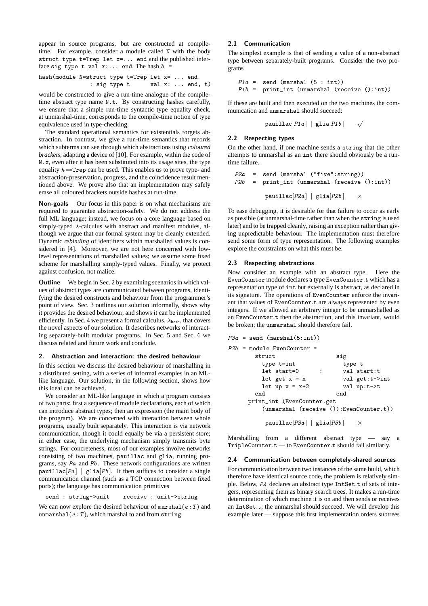appear in source programs, but are constructed at compiletime. For example, consider a module called N with the body struct type t=Trep let x=... end and the published interface sig type t val  $x:...$  end. The hash  $h =$ 

```
hash(module N=struct type t=Trep let x= ... end
              : sig type t val x: ... end, t)
```
would be constructed to give a run-time analogue of the compiletime abstract type name N.t. By constructing hashes carefully, we ensure that a simple run-time syntactic type equality check, at unmarshal-time, corresponds to the compile-time notion of type equivalence used in type-checking.

The standard operational semantics for existentials forgets abstraction. In contrast, we give a run-time semantics that records which subterms can see through which abstractions using *coloured brackets*, adapting a device of [10]. For example, within the code of N.x, even after it has been substituted into its usage sites, the type equality  $h = T$ rep can be used. This enables us to prove type- and abstraction-preservation, progress, and the coincidence result mentioned above. We prove also that an implementation may safely erase all coloured brackets outside hashes at run-time.

Non-goals Our focus in this paper is on what mechanisms are required to guarantee abstraction-safety. We do not address the full ML language; instead, we focus on a core language based on simply-typed  $\lambda$ -calculus with abstract and manifest modules, although we argue that our formal system may be cleanly extended. Dynamic *rebinding* of identifiers within marshalled values is considered in [4]. Moreover, we are not here concerned with lowlevel representations of marshalled values; we assume some fixed scheme for marshalling simply-typed values. Finally, we protect against confusion, not malice.

**Outline** We begin in Sec. 2 by examining scenarios in which values of abstract types are communicated between programs, identifying the desired constructs and behaviour from the programmer's point of view. Sec. 3 outlines our solution informally, shows why it provides the desired behaviour, and shows it can be implemented efficiently. In Sec. 4 we present a formal calculus,  $\lambda_{\text{hash}}$ , that covers the novel aspects of our solution. It describes networks of interacting separately-built modular programs. In Sec. 5 and Sec. 6 we discuss related and future work and conclude.

#### 2. Abstraction and interaction: the desired behaviour

In this section we discuss the desired behaviour of marshalling in a distributed setting, with a series of informal examples in an MLlike language. Our solution, in the following section, shows how this ideal can be achieved.

We consider an ML-like language in which a program consists of two parts: first a sequence of module declarations, each of which can introduce abstract types; then an expression (the main body of the program). We are concerned with interaction between whole programs, usually built separately. This interaction is via network communication, though it could equally be via a persistent store; in either case, the underlying mechanism simply transmits byte strings. For concreteness, most of our examples involve networks consisting of two machines, pauillac and glia, running programs, say Pa and Pb . These network configurations are written pauillac $[Pa]$  | glia $[Pb]$ . It then suffices to consider a single communication channel (such as a TCP connection between fixed ports); the language has communication primitives

send : string->unit receive : unit->string

We can now explore the desired behaviour of marshal( $e : T$ ) and unmarshal( $e: T$ ), which marshal to and from string.

# 2.1 Communication

The simplest example is that of sending a value of a non-abstract type between separately-built programs. Consider the two programs

```
P1a = send (marshal (5 : int))
P1b = print_int (unmarshal (receive ():int))
```
If these are built and then executed on the two machines the communication and unmarshal should succeed:

$$
\verb!paullac[Pla] | glia[Plb] \qquad \surd
$$

# 2.2 Respecting types

On the other hand, if one machine sends a string that the other attempts to unmarshal as an int there should obviously be a runtime failure.

```
P2a = send (marshall ('five":string))P2b = print(int (unmarshall (receive ():int))pauillac[P2a] |glia[P2b] \times
```
To ease debugging, it is desirable for that failure to occur as early as possible (at unmarshal-time rather than when the string is used later) and to be trapped cleanly, raising an exception rather than giving unpredictable behaviour. The implementation must therefore send some form of type representation. The following examples explore the constraints on what this must be.

# 2.3 Respecting abstractions

Now consider an example with an abstract type. Here the EvenCounter module declares a type EvenCounter.t which has a representation type of int but externally is abstract, as declared in its signature. The operations of EvenCounter enforce the invariant that values of EvenCounter.t are always represented by even integers. If we allowed an arbitrary integer to be unmarshalled as an EvenCounter.t then the abstraction, and this invariant, would be broken; the unmarshal should therefore fail.

```
P3a = send (marshal(5:int))
```

|                                            | $P3b$ = module EvenCounter = |           |                |  |  |
|--------------------------------------------|------------------------------|-----------|----------------|--|--|
|                                            | struct                       | sig       |                |  |  |
|                                            | type t=int                   |           | type t         |  |  |
|                                            | let start=0                  | $\sim$ 1. | val start:t    |  |  |
|                                            | let get $x = x$              |           | val get:t->int |  |  |
|                                            | let up $x = x+2$             |           | val up:t->t    |  |  |
|                                            | end                          |           | end            |  |  |
| print_int (EvenCounter.get                 |                              |           |                |  |  |
| $(unmarshall (receive ()):EvenCounter.t))$ |                              |           |                |  |  |
|                                            |                              |           |                |  |  |

pauillac $[P3a] |$ glia $[P3b] \times$ 

Marshalling from a different abstract type — say a TripleCounter.t — to EvenCounter.t should fail similarly.

#### 2.4 Communication between completely-shared sources

For communication between two instances of the same build, which therefore have identical source code, the problem is relatively simple. Below, P4 declares an abstract type IntSet.t of sets of integers, representing them as binary search trees. It makes a run-time determination of which machine it is on and then sends or receives an IntSet.t; the unmarshal should succeed. We will develop this example later — suppose this first implementation orders subtrees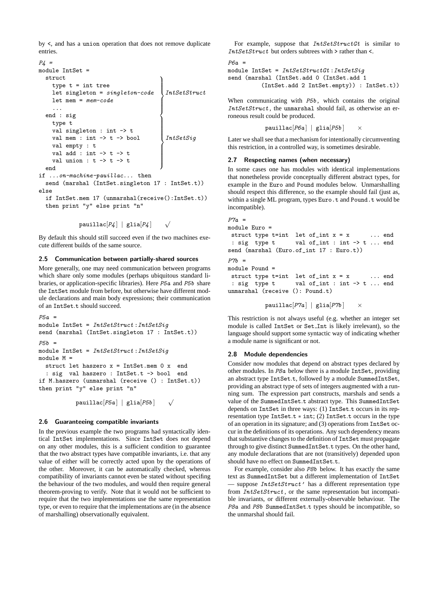by <, and has a union operation that does not remove duplicate entries.

```
P4 =module IntSet =
  struct
    type t = int treelet singleton = singleton-code
                                         )
                                         \vert\intIntSetStruct
    let mem = mem-code...
  end : sig
    type t
    val singleton : int -> t
    val mem : int -> t -> bool
                                         )
                                         \overline{\mathcal{L}}\begin{array}{c} \end{array}IntSetSig
    val empty : t
    val add : int -> t -> t
    val union : t -> t -> t
  end
if ...on-machine-pauillac... then
  send (marshal (IntSet.singleton 17 : IntSet.t))
else
  if IntSet.mem 17 (unmarshal(receive():IntSet.t))
  then print "y" else print "n"
```
pauillac $[P4]$  | glia $[P4]$ 

√

By default this should still succeed even if the two machines execute different builds of the same source.

### 2.5 Communication between partially-shared sources

More generally, one may need communication between programs which share only some modules (perhaps ubiquitous standard libraries, or application-specific libraries). Here P5a and P5b share the IntSet module from before, but otherwise have different module declarations and main body expressions; their communication of an IntSet.t should succeed.

```
P5a =module IntSet = IntSetStruct: IntSetSigsend (marshal (IntSet.singleton 17 : IntSet.t))
P5b =module IntSet = IntSetStruct: IntSetSigmodule M =
  struct let haszero x = IntSet.mem 0 x end
  : sig val haszero : IntSet.t -> bool end
if M.haszero (unmarshal (receive () : IntSet.t))
then print "y" else print "n"
```
 $p$ auillac $[P5a] |$ glia $[P5b]$ √

# 2.6 Guaranteeing compatible invariants

In the previous example the two programs had syntactically identical IntSet implementations. Since IntSet does not depend on any other modules, this is a sufficient condition to guarantee that the two abstract types have compatible invariants, i.e. that any value of either will be correctly acted upon by the operations of the other. Moreover, it can be automatically checked, whereas compatibility of invariants cannot even be stated without specifing the behaviour of the two modules, and would then require general theorem-proving to verify. Note that it would not be sufficient to require that the two implementations use the same representation type, or even to require that the implementations are (in the absence of marshalling) observationally equivalent.

For example, suppose that IntSetStructGt is similar to  $IntSetStruct$  but orders subtrees with  $\ge$  rather than  $\le$ .

```
P6a =module IntSet = IntSetStructGt : IntSetSigsend (marshal (IntSet.add 0 (IntSet.add 1
          (IntSet.add 2 IntSet.empty)) : IntSet.t))
```
When communicating with  $P5b$ , which contains the original IntSetStruct, the unmarshal should fail, as otherwise an erroneous result could be produced.

```
pauillac[P6a] |glia[P5b] \times
```
Later we shall see that a mechanism for intentionally circumventing this restriction, in a controlled way, is sometimes desirable.

# 2.7 Respecting names (when necessary)

In some cases one has modules with identical implementations that nonetheless provide conceptually different abstract types, for example in the Euro and Pound modules below. Unmarshalling should respect this difference, so the example should fail (just as, within a single ML program, types Euro.t and Pound.t would be incompatible).

```
P7a =module Euro =
struct type t=int let of_int x = x ... end
 : sig type t val of int : int \rightarrow t ... end
send (marshal (Euro.of_int 17 : Euro.t))
P\% =module Pound =
struct type t=int let of_int x = x ... end
 : sig type t val of_int : int -> t ... end
unmarshal (receive (): Pound.t)
```
pauillac $[P7a] |$ glia $[P7b] \times$ 

This restriction is not always useful (e.g. whether an integer set module is called IntSet or Set Int is likely irrelevant), so the language should support some syntactic way of indicating whether a module name is significant or not.

#### 2.8 Module dependencies

Consider now modules that depend on abstract types declared by other modules. In P8a below there is a module IntSet, providing an abstract type IntSet.t, followed by a module SummedIntSet, providing an abstract type of sets of integers augmented with a running sum. The expression part constructs, marshals and sends a value of the SummedIntSet.t abstract type. This SummedIntSet depends on IntSet in three ways: (1) IntSet.t occurs in its representation type IntSet.t ∗ int; (2) IntSet.t occurs in the type of an operation in its signature; and (3) operations from IntSet occur in the definitions of its operations. Any such dependency means that substantive changes to the definition of IntSet must propagate through to give distinct SummedIntSet.t types. On the other hand, any module declarations that are not (transitively) depended upon should have no effect on SummedIntSet.t.

For example, consider also P8b below. It has exactly the same text as SummedIntSet but a different implementation of IntSet - suppose IntSetStruct' has a different representation type from IntSetStruct, or the same representation but incompatible invariants, or different externally-observable behaviour. The P8a and P8b SummedIntSet.t types should be incompatible, so the unmarshal should fail.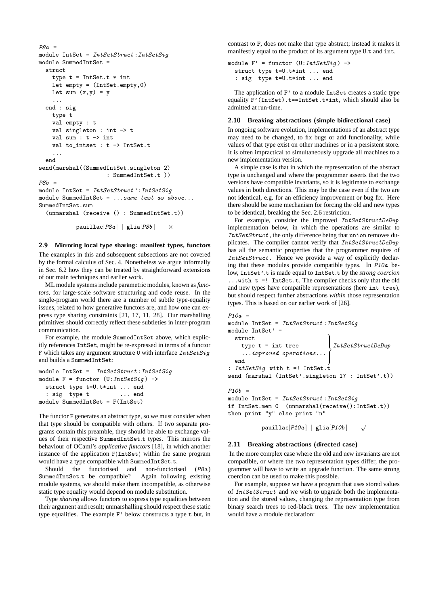```
P8a =module IntSet = IntSetStruct: IntSetSigmodule SummedIntSet =
 struct
   type t = IntSet.t * intlet empty = (IntSet .empty, 0)let sum (x,y) = y...
  end : sig
   type t
   val empty : t
   val singleton : int -> t
   val sum : t \rightarrow intval to_intset : t -> IntSet.t
    ...
  end
send(marshal((SummedIntSet.singleton 2)
                    : SummedIntSet.t ))
P8b =
module IntSet = IntSetStruct: IntSetSig
module SummedIntSet = ...same text as above...
SummedIntSet.sum
  (unmarshal (receive () : SummedIntSet.t))
```
pauillac $[P8a] |$ glia $[P8b] \times$ 

#### 2.9 Mirroring local type sharing: manifest types, functors

The examples in this and subsequent subsections are not covered by the formal calculus of Sec. 4. Nonetheless we argue informally in Sec. 6.2 how they can be treated by straightforward extensions of our main techniques and earlier work.

ML module systemsinclude parametric modules, known as*functors*, for large-scale software structuring and code reuse. In the single-program world there are a number of subtle type-equality issues, related to how generative functors are, and how one can express type sharing constraints [21, 17, 11, 28]. Our marshalling primitives should correctly reflect these subtleties in inter-program communication.

For example, the module SummedIntSet above, which explicitly references IntSet, might be re-expressed in terms of a functor F which takes any argument structure U with interface  $IntSetsig$ and builds a SummedIntSet:

```
module IntSet = IntSetStruct: IntSetSigmodule F = function (U: IntSetsig) ->
  struct type t=U.t*int ... end
  : sig type t ... end
module SummedIntSet = F(IntSet)
```
The functor F generates an abstract type, so we must consider when that type should be compatible with others. If two separate programs contain this preamble, they should be able to exchange values of their respective SummedIntSet.t types. This mirrors the behaviour of OCaml's *applicative functors* [18], in which another instance of the application F(IntSet) within the same program would have a type compatible with SummedIntSet.t.

Should the functorised and non-functorised (P8a) SummedIntSet.t be compatible? Again following existing module systems, we should make them incompatible, as otherwise static type equality would depend on module substitution.

Type *sharing* allows functors to express type equalities between their argument and result; unmarshalling should respect these static type equalities. The example F' below constructs a type t but, in

contrast to F, does not make that type abstract; instead it makes it manifestly equal to the product of its argument type U.t and int.

```
module F' = functor (U: IntSetsig) ->
  struct type t=U.t*int ... end
  : sig type t=U.t*int ... end
```
The application of F' to a module IntSet creates a static type equality F'(IntSet).t==IntSet.t\*int, which should also be admitted at run-time.

#### 2.10 Breaking abstractions (simple bidirectional case)

In ongoing software evolution, implementations of an abstract type may need to be changed, to fix bugs or add functionality, while values of that type exist on other machines or in a persistent store. It is often impractical to simultaneously upgrade all machines to a new implementation version.

A simple case is that in which the representation of the abstract type is unchanged and where the programmer asserts that the two versions have compatible invariants, so it is legitimate to exchange values in both directions. This may be the case even if the two are not identical, e.g. for an efficiency improvement or bug fix. Here there should be some mechanism for forcing the old and new types to be identical, breaking the Sec. 2.6 restriction.

For example, consider the improved IntSetStructDeDup implementation below, in which the operations are similar to IntSetStruct , the only difference being that union removes duplicates. The compiler cannot verify that IntSetStructDeDup has all the semantic properties that the programmer requires of IntSetStruct. Hence we provide a way of explicitly declaring that these modules provide compatible types. In P10a below, IntSet'.t is made equal to IntSet.t by the *strong coercion* ...with t =! IntSet.t. The compiler checks only that the old and new types have compatible representations (here int tree), but should respect further abstractions *within* those representation types. This is based on our earlier work of [26].

```
P10a =module IntSet = IntSetStruct: IntSetSigmodule IntSet' =
  struct
     type t = int tree
                                 )
                                 \overline{\mathcal{L}}\intIntSetStructDeDup
     ...improved operations...
  end
: IntSetSig with t = 1 IntSet.t
send (marshal (IntSet'.singleton 17 : IntSet'.t))
```
 $P10b =$ 

module  $IntSet = IntSetStruct: IntSetSig$ if IntSet.mem 0 (unmarshal(receive():IntSet.t)) then print "y" else print "n"

```
pauillac[P10a] | glia[P10b]√
```
# 2.11 Breaking abstractions (directed case)

In the more complex case where the old and new invariants are not compatible, or where the two representation types differ, the programmer will have to write an upgrade function. The same strong coercion can be used to make this possible.

For example, suppose we have a program that uses stored values of IntSetStruct and we wish to upgrade both the implementation and the stored values, changing the representation type from binary search trees to red-black trees. The new implementation would have a module declaration: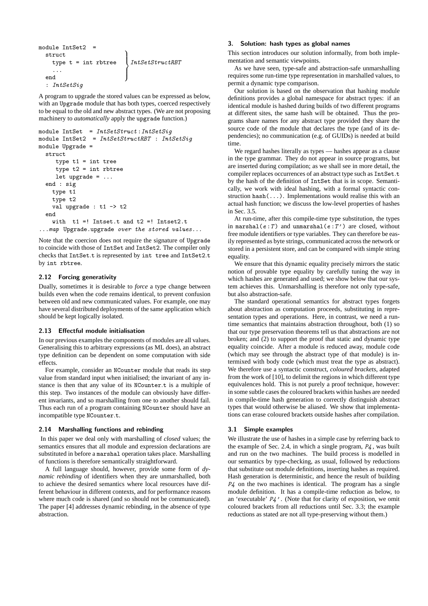```
module IntSet2 =
  struct
    type t = int rbtree
                           )
                           \int IntSetStructRBT\int...
  end
  : IntSetSig
```
A program to upgrade the stored values can be expressed as below, with an Upgrade module that has both types, coerced respectively to be equal to the old and new abstract types. (We are not proposing machinery to *automatically* apply the upgrade function.)

```
module IntSet = IntSetStruct: IntSetSigmodule IntSet2 = IntSetStructRBT : IntSetSigmodule Upgrade =
 struct
    type t1 = int treetype t2 = intrbtree
    let upgrade = \dotsend : sig
    type t1
    type t2
    val upgrade : t1 -> t2
  end
    with t1 =! Intset.t and t2 =! Intset2.t
...map Upgrade.upgrade over the stored values...
```
Note that the coercion does not require the signature of Upgrade to coincide with those of IntSet and IntSet2. The compiler only checks that IntSet.t is represented by int tree and IntSet2.t by int rbtree.

# 2.12 Forcing generativity

Dually, sometimes it is desirable to *force* a type change between builds even when the code remains identical, to prevent confusion between old and new communicated values. For example, one may have several distributed deployments of the same application which should be kept logically isolated.

# 2.13 Effectful module initialisation

In our previous examples the components of modules are all values. Generalising this to arbitrary expressions (as ML does), an abstract type definition can be dependent on some computation with side effects.

For example, consider an NCounter module that reads its step value from standard input when initialised; the invariant of any instance is then that any value of its NCounter.t is a multiple of this step. Two instances of the module can obviously have different invariants, and so marshalling from one to another should fail. Thus each run of a program containing NCounter should have an incompatible type NCounter.t.

# 2.14 Marshalling functions and rebinding

In this paper we deal only with marshalling of *closed* values; the semantics ensures that all module and expression declarations are substituted in before a marshal operation takes place. Marshalling of functions is therefore semantically straightforward.

A full language should, however, provide some form of *dynamic rebinding* of identifiers when they are unmarshalled, both to achieve the desired semantics where local resources have different behaviour in different contexts, and for performance reasons where much code is shared (and so should not be communicated). The paper [4] addresses dynamic rebinding, in the absence of type abstraction.

## 3. Solution: hash types as global names

This section introduces our solution informally, from both implementation and semantic viewpoints.

As we have seen, type-safe and abstraction-safe unmarshalling requires some run-time type representation in marshalled values, to permit a dynamic type comparison.

Our solution is based on the observation that hashing module definitions provides a global namespace for abstract types: if an identical module is hashed during builds of two different programs at different sites, the same hash will be obtained. Thus the programs share names for any abstract type provided they share the source code of the module that declares the type (and of its dependencies); no communication (e.g. of GUIDs) is needed at build time.

We regard hashes literally as types — hashes appear as a clause in the type grammar. They do not appear in source programs, but are inserted during compilation; as we shall see in more detail, the compiler replaces occurrences of an abstract type such as IntSet.t by the hash of the definition of IntSet that is in scope. Semantically, we work with ideal hashing, with a formal syntactic construction hash(...). Implementations would realise this with an actual hash function; we discuss the low-level properties of hashes in Sec. 3.5.

At run-time, after this compile-time type substitution, the types in marshal(e:  $T$ ) and unmarshal(e:  $T'$ ) are closed, without free module identifiers or type variables. They can therefore be easily represented as byte strings, communicated across the network or stored in a persistent store, and can be compared with simple string equality.

We ensure that this dynamic equality precisely mirrors the static notion of provable type equality by carefully tuning the way in which hashes are generated and used; we show below that our system achieves this. Unmarshalling is therefore not only type-safe, but also abstraction-safe.

The standard operational semantics for abstract types forgets about abstraction as computation proceeds, substituting in representation types and operations. Here, in contrast, we need a runtime semantics that maintains abstraction throughout, both (1) so that our type preservation theorems tell us that abstractions are not broken; and (2) to support the proof that static and dynamic type equality coincide. After a module is reduced away, module code (which may see through the abstract type of that module) is intermixed with body code (which must treat the type as abstract). We therefore use a syntactic construct, *coloured brackets*, adapted from the work of [10], to delimit the regions in which different type equivalences hold. This is not purely a proof technique, however: in some subtle cases the coloured brackets within hashes are needed in compile-time hash generation to correctly distinguish abstract types that would otherwise be aliased. We show that implementations can erase coloured brackets outside hashes after compilation.

# 3.1 Simple examples

We illustrate the use of hashes in a simple case by referring back to the example of Sec. 2.4, in which a single program,  $P\lambda$ , was built and run on the two machines. The build process is modelled in our semantics by type-checking, as usual, followed by reductions that substitute out module definitions, inserting hashes as required. Hash generation is deterministic, and hence the result of building  $P<sub>4</sub>$  on the two machines is identical. The program has a single module definition. It has a compile-time reduction as below, to an 'executable'  $P\mathcal{L}'$ . (Note that for clarity of exposition, we omit coloured brackets from all reductions until Sec. 3.3; the example reductions as stated are not all type-preserving without them.)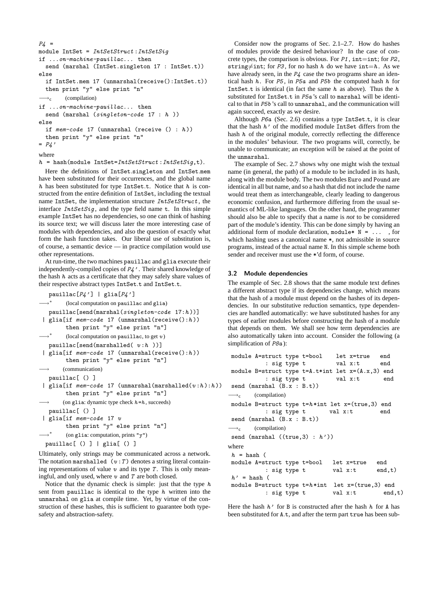```
P4 =module IntSet = IntSetStruct: IntSetSigif ...on-machine-pauillac... then
  send (marshal (IntSet.singleton 17 : IntSet.t))
else
  if IntSet.mem 17 (unmarshal(receive():IntSet.t))
  then print "y" else print "n"
        −→c (compilation)
if ...on-machine-pauillac... then
  send (marshal (singleton-code 17 : h ))
else
  if mem-code 17 (unmarshal (receive () : h()then print "y" else print "n"
= P\lambda'where
```
 $h =$  hash(module IntSet=IntSetStruct:IntSetSig,t).

Here the definitions of IntSet.singleton and IntSet.mem have been substituted for their occurrences, and the global name h has been substituted for type IntSet.t. Notice that h is constructed from the entire definition of IntSet, including the textual name IntSet, the implementation structure IntSetStruct, the interface  $IntSetsig$ , and the type field name t. In this simple example IntSet has no dependencies, so one can think of hashing its source text; we will discuss later the more interesting case of modules with dependencies, and also the question of exactly what form the hash function takes. Our liberal use of substitution is, of course, a semantic device — in practice compilation would use other representations.

At run-time, the two machines pauillac and glia execute their independently-compiled copies of P4' . Their shared knowledge of the hash  $h$  acts as a certificate that they may safely share values of their respective abstract types IntSet.t and IntSet.t.

```
pauillac[P4'] | glia[P4']−→∗
        (local computation on pauillac and glia)
  pauillac[send(marshal(singleton-code 17:h ))]
 | glia[if mem-code 17 (unmarshal(receive():h))
        then print "y" else print "n"]
−→∗
        (local computation on pauillac, to get v)
  pauillac[send(marshalled(v : h))]
 | glia[if mem-code 17 (unmarshal(receive():h))
        then print "y" else print "n"]
       −→ (communication)
  pauillac[ () ]
 | glia[if mem-code 17 (unmarshal(marshalled(v : h) : h))
        then print "y" else print "n"]
       (on glia: dynamic type check h = h, succeeds)
   pauillac[ () ]
 | glia[if mem-code 17 vthen print "y" else print "n"]
−→∗
        (on glia: computation, prints "y")
 pauillac[ () ] | glia[ () ]
```
Ultimately, only strings may be communicated across a network. The notation marshalled  $(v: T)$  denotes a string literal containing representations of value  $\nu$  and its type T. This is only meaningful, and only used, where  $\nu$  and  $T$  are both closed.

Notice that the dynamic check is simple: just that the type  $h$ sent from pauillac is identical to the type  $h$  written into the unmarshal on glia at compile time. Yet, by virtue of the construction of these hashes, this is sufficient to guarantee both typesafety and abstraction-safety.

Consider now the programs of Sec. 2.1–2.7. How do hashes of modules provide the desired behaviour? In the case of concrete types, the comparison is obvious. For  $P1$ , int=int; for  $P2$ , string  $\neq$  int; for P3, for no hash h do we have int=h. As we have already seen, in the  $P_4$  case the two programs share an identical hash  $h$ . For P5, in P5a and P5b the computed hash  $h$  for IntSet.t is identical (in fact the same  $h$  as above). Thus the  $h$ substituted for IntSet.t in P5a's call to marshal will be identical to that in P5b 's call to unmarshal, and the communication will again succeed, exactly as we desire.

Although P6a (Sec. 2.6) contains a type IntSet.t, it is clear that the hash  $h'$  of the modified module IntSet differs from the hash  $h$  of the original module, correctly reflecting the difference in the modules' behaviour. The two programs will, correctly, be unable to communicate; an exception will be raised at the point of the unmarshal.

The example of Sec. 2.7 shows why one might wish the textual name (in general, the path) of a module to be included in its hash, along with the module body. The two modules Euro and Pound are identical in all but name, and so a hash that did not include the name would treat them as interchangeable, clearly leading to dangerous economic confusion, and furthermore differing from the usual semantics of ML-like languages. On the other hand, the programmer should also be able to specify that a name is *not* to be considered part of the module's identity. This can be done simply by having an additional form of module declaration, module\*  $N = ...$ , for which hashing uses a canonical name  $*$ , not admissible in source programs, instead of the actual name N. In this simple scheme both sender and receiver must use the \*'d form, of course.

# 3.2 Module dependencies

The example of Sec. 2.8 shows that the same module text defines a different abstract type if its dependencies change, which means that the hash of a module must depend on the hashes of its dependencies. In our substitutive reduction semantics, type dependencies are handled automatically: we have substituted hashes for any types of earlier modules before constructing the hash of a module that depends on them. We shall see how term dependencies are also automatically taken into account. Consider the following (a simplification of P8a):

```
module A=struct type t=bool let x=true end
         : sig type t val x:t end
module B=struct type t=A.t*int let x=(A.x,3) end
         : sig type t val x:t end
send (marshal (B.x : B.t))
 −→c (compilation)
module B=struct type t=h*int let x=(true,3) end
         : sig type t val x:t end
send (marshal (B.x : B.t))
  −→c (compilation)
send (marshal ((true,3) : h'))where
h =hash (
module A=struct type t=bool let x=true end
         : sig type t val x:t end,t)
h' = hash (
module B=struct type t=h*int let x=(true,3) end
         : sig type t val x:t end,t)
```
Here the hash  $h'$  for B is constructed after the hash  $h$  for A has been substituted for A.t, and after the term part true has been sub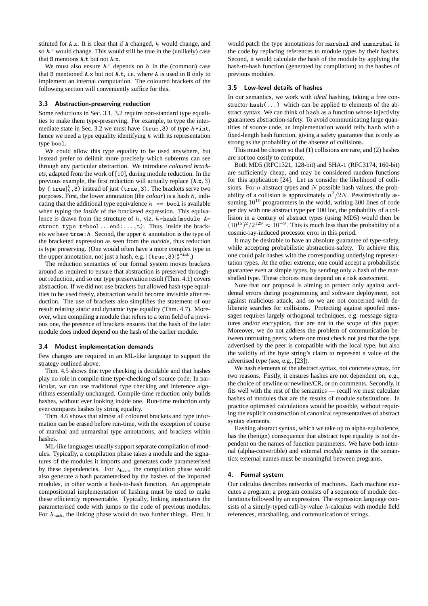stituted for A.x. It is clear that if A changed,  $h$  would change, and so  $h'$  would change. This would still be true in the (unlikely) case that B mentions A.t but not A.x.

We must also ensure  $h'$  depends on h in the (common) case that B mentioned A.x but not A.t, i.e. where A is used in B only to implement an internal computation. The coloured brackets of the following section will conveniently suffice for this.

#### 3.3 Abstraction-preserving reduction

Some reductions in Sec. 3.1, 3.2 require non-standard type equalities to make them type-preserving. For example, to type the intermediate state in Sec. 3.2 we must have  $(true, 3)$  of type  $h * int$ , hence we need a type equality identifying  $h$  with its representation type bool.

We could allow this type equality to be used anywhere, but instead prefer to delimit more precisely which subterms can see through any particular abstraction. We introduce *coloured brackets*, adapted from the work of [10], during module reduction. In the previous example, the first reduction will actually replace (A.x, 3) by ( $[\texttt{true}]_h^h$ ,3) instead of just ( $\texttt{true}$ ,3). The brackets serve two purposes. First, the lower annotation (the *colour*) is a hash h, indicating that the additional type equivalence  $h$  == bool is available when typing the *inside* of the bracketed expression. This equivalence is drawn from the structure of  $h$ , viz.  $h$ =hash(module A= struct type t=bool...end:...,t). Thus, inside the brackets we have  $true:h$ . Second, the upper h annotation is the type of the bracketed expression as seen from the *outside*, thus reduction is type preserving. (One would often have a more complex type in the upper annotation, not just a hash, e.g.  $[(true, 3)]_h^{h*int}.$ 

The reduction semantics of our formal system moves brackets around as required to ensure that abstraction is preserved throughout reduction, and so our type preservation result (Thm. 4.1) covers abstraction. If we did not use brackets but allowed hash type equalities to be used freely, abstraction would become invisible after reduction. The use of brackets also simplifies the statement of our result relating static and dynamic type equality (Thm. 4.7). Moreover, when compiling a module that refers to a term field of a previous one, the presence of brackets ensures that the hash of the later module does indeed depend on the hash of the earlier module.

#### 3.4 Modest implementation demands

Few changes are required in an ML-like language to support the strategy outlined above.

Thm. 4.5 shows that type checking is decidable and that hashes play no role in compile-time type-checking of source code. In particular, we can use traditional type checking and inference algorithms essentially unchanged. Compile-time reduction only builds hashes, without ever looking inside one. Run-time reduction only ever compares hashes by string equality.

Thm. 4.6 shows that almost all coloured brackets and type information can be erased before run-time, with the exception of course of marshal and unmarshal type annotations, and brackets within hashes.

ML-like languages usually support separate compilation of modules. Typically, a compilation phase takes a module and the signatures of the modules it imports and generates code parameterised by these dependencies. For  $\lambda_{\text{hash}}$ , the compilation phase would also generate a hash parameterised by the hashes of the imported modules, in other words a hash-to-hash function. An appropriate compositional implementation of hashing must be used to make these efficiently representable. Typically, linking instantiates the parameterised code with jumps to the code of previous modules. For  $\lambda$ <sub>hash</sub>, the linking phase would do two further things. First, it

would patch the type annotations for marshal and unmarshal in the code by replacing references to module types by their hashes. Second, it would calculate the hash of the module by applying the hash-to-hash function (generated by compilation) to the hashes of previous modules.

#### 3.5 Low-level details of hashes

In our semantics, we work with *ideal* hashing, taking a free constructor hash(...) which can be applied to elements of the abstract syntax. We can think of hash as a function whose injectivity guarantees abstraction-safety. To avoid communicating large quantities of source code, an implementation would reify hash with a fixed-length hash function, giving a safety guarantee that is only as strong as the probability of the absense of collisions.

This must be chosen so that (1) collisions are rare, and (2) hashes are not too costly to compute.

Both MD5 (RFC1321, 128-bit) and SHA-1 (RFC3174, 160-bit) are sufficiently cheap, and may be considered random functions for this application [24]. Let us consider the likelihood of collisions. For *n* abstract types and N possible hash values, the probability of a collision is approximately  $n^2/2N$ . Pessimistically assuming  $10^{10}$  programmers in the world, writing 300 lines of code per day with one abstract type per 100 loc, the probability of a collision in a century of abstract types (using MD5) would then be  $(10^{15})^2/2^{129} \approx 10^{-9}$ . This is much less than the probability of a cosmic-ray-induced processor error in this period.

It may be desirable to have an absolute guarantee of type-safety, while accepting probabilistic abstraction-safety. To achieve this, one could pair hashes with the corresponding underlying representation types. At the other extreme, one could accept a probabilistic guarantee even at simple types, by sending only a hash of the marshalled type. These choices must depend on a risk assessment.

Note that our proposal is aiming to protect only against accidental errors during programming and software deployment, not against malicious attack, and so we are not concerned with deliberate searches for collisions. Protecting against spoofed messages requires largely orthogonal techniques, e.g. message signatures and/or encryption, that are not in the scope of this paper. Moreover, we do not address the problem of communication between untrusting peers, where one must check not just that the type advertised by the peer is compatible with the local type, but also the validity of the byte string's claim to represent a value of the advertised type (see, e.g., [23]).

We hash elements of the abstract syntax, not concrete syntax, for two reasons. Firstly, it ensures hashes are not dependent on, e.g., the choice of newline or newline/CR, or on comments. Secondly, it fits well with the rest of the semantics — recall we must calculate hashes of modules that are the results of module substitutions. In practice optimised calculations would be possible, without requiring the explicit construction of canonical representatives of abstract syntax elements.

Hashing abstract syntax, which we take up to alpha-equivalence, has the (benign) consequence that abstract type equality is not dependent on the names of function parameters. We have both internal (alpha-convertible) and external *module* names in the semantics; external names must be meaningful between programs.

#### 4. Formal system

Our calculus describes networks of machines. Each machine executes a program; a program consists of a sequence of module declarations followed by an expression. The expression language consists of a simply-typed call-by-value  $\lambda$ -calculus with module field references, marshalling, and communication of strings.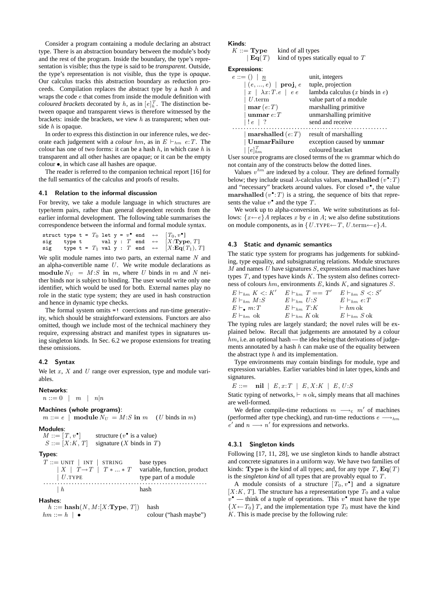Consider a program containing a module declaring an abstract type. There is an abstraction boundary between the module's body and the rest of the program. Inside the boundary, the type's representation is visible; thus the type is said to be *transparent*. Outside, the type's representation is not visible, thus the type is *opaque*. Our calculus tracks this abstraction boundary as reduction proceeds. Compilation replaces the abstract type by a *hash* h and wraps the code e that comes from inside the module definition with *coloured brackets* decorated by h, as in  $[e]_h^T$ . The distinction between opaque and transparent views is therefore witnessed by the brackets: inside the brackets, we view  $h$  as transparent; when outside  $h$  is opaque.

In order to express this distinction in our inference rules, we decorate each judgement with a *colour* hm, as in  $E \vdash_{hm} e:T$ . The colour has one of two forms: it can be a hash  $h$ , in which case  $h$  is transparent and all other hashes are opaque; or it can be the empty colour •, in which case all hashes are opaque.

The reader is referred to the companion technical report [16] for the full semantics of the calculus and proofs of results.

#### 4.1 Relation to the informal discussion

For brevity, we take a module language in which structures are type/term pairs, rather than general dependent records from the earlier informal development. The following table summarises the correspondence between the informal and formal module syntax.

|  |  |  |  |  | struct type $t = T_0$ let $y = v^{\bullet}$ end $\leftrightarrow$ $[T_0, v^{\bullet}]$ |
|--|--|--|--|--|----------------------------------------------------------------------------------------|
|  |  |  |  |  | sig type t valy: T end $\leftrightarrow$ $[X:\textbf{Type}, T]$                        |
|  |  |  |  |  | sig type $t = T_1$ val $y : T$ end $\leftrightarrow [X : Eq(T_1), T]$                  |

We split module names into two parts, an external name  $N$  and an alpha-convertible name  $U$ . We write module declarations as module  $N_U = M : S$  in m, where U binds in m and N neither binds nor is subject to binding. The user would write only one identifier, which would be used for both. External names play no role in the static type system; they are used in hash construction and hence in dynamic type checks.

The formal system omits =! coercions and run-time generativity, which should be straightforward extensions. Functors are also omitted, though we include most of the technical machinery they require, expressing abstract and manifest types in signatures using singleton kinds. In Sec. 6.2 we propose extensions for treating these omissions.

# 4.2 Syntax

We let  $x$ ,  $X$  and  $U$  range over expression, type and module variables.

#### Networks:

 $n ::= 0 \mid m \mid n|n$ 

#### Machines (whole programs):

```
m ::= e \mid \textbf{module } N_U = M : S \textbf{ in } m \quad (U \textbf{ binds in } m)
```
# Modules:

| $M ::= [T, v^{\bullet}]$ | structure ( $v^{\bullet}$ is a value)     |
|--------------------------|-------------------------------------------|
|                          | $S ::= [X:K, T]$ signature (X binds in T) |

```
Types:
```

| $T ::= UNIT$   INT   STRING<br>$\mid X \mid T \rightarrow T \mid T *  * T$<br>$ $ U.TYPE | base types<br>variable, function, product<br>type part of a module |
|------------------------------------------------------------------------------------------|--------------------------------------------------------------------|
| $\lfloor h \rfloor$                                                                      | hash                                                               |

# Hashes:

| ⊓asnes.                                                   |                       |
|-----------------------------------------------------------|-----------------------|
| $h ::= \mathbf{hash}(N, M : [X : \mathbf{Type}, T])$ hash |                       |
| $hm ::= h \mid \bullet$                                   | colour ("hash maybe") |

#### Kinds:

| $K ::= Type$ | kind of all types                                    |
|--------------|------------------------------------------------------|
|              | $\mathbf{Eq}(T)$ kind of types statically equal to T |

# Expressions:

| $e ::= ()   n$                                    | unit, integers                                                    |
|---------------------------------------------------|-------------------------------------------------------------------|
| $\mid (e, , e) \mid \text{proj}_i \, e$           | tuple, projection                                                 |
| $\vert x \vert \lambda x$ : T.e $\vert e e \vert$ | lambda calculus $(x \text{ binds in } e)$                         |
| $U.\mathrm{term}$                                 | value part of a module                                            |
| $\mathbf{mar}(e:T)$                               | marshalling primitive                                             |
| unmar $e: T$                                      | unmarshalling primitive                                           |
| $\vert\,\vert\,e\,\vert\,\vert\,$ ?               | send and receive                                                  |
|                                                   |                                                                   |
| marshalled $(e:T)$                                | result of marshalling                                             |
| <b>UnmarFailure</b>                               | exception caused by <b>unmar</b>                                  |
| $[e]_{hm}^T$                                      | coloured bracket                                                  |
|                                                   | User source programs are closed terms of the $m$ grammar which do |

not contain any of the constructs below the dotted lines.

Values  $v^{hm}$  are indexed by a colour. They are defined formally below; they include usual  $\lambda$ -calculus values, marshalled  $(v^{\bullet}:T)$ and "necessary" brackets around values. For closed  $v^*$ , the value marshalled  $(v^{\bullet}:T)$  is a string, the sequence of bits that represents the value  $v^{\bullet}$  and the type  $\overline{T}$ .

We work up to alpha-conversion. We write substitutions as follows:  $\{x \leftarrow e\}$  A replaces x by e in A; we also define substitutions on module components, as in  $\{U.\text{Type} \leftarrow T, U.\text{term} \leftarrow e\}A$ .

#### 4.3 Static and dynamic semantics

The static type system for programs has judgements for subkinding, type equality, and subsignaturing relations. Module structures  $M$  and names U have signatures  $S$ , expressions and machines have types  $T$ , and types have kinds  $K$ . The system also defines correctness of colours  $hm$ , environments  $E$ , kinds  $K$ , and signatures  $S$ .

| $E\vdash_{hm} K \lt: K'$ | $E\vdash_{hm} T == T'$ | $E\vdash_{hm} S\lt S S'$    |
|--------------------------|------------------------|-----------------------------|
| $E\vdash_{hm} M:S$       | $E \vdash_{hm} U : S$  | $E\vdash_{hm} e:T$          |
| $E\vdash_{\bullet} m:T$  | $E\vdash_{hm} T:K$     | $\vdash hm$ ok              |
| $E\vdash_{hm} \text{ok}$ | $E\vdash_{hm} K$ ok    | $E\vdash_{hm} S \text{ ok}$ |

The typing rules are largely standard; the novel rules will be explained below. Recall that judgements are annotated by a colour  $hm$ , i.e. an optional hash — the idea being that derivations of judgements annotated by a hash  $h$  can make use of the equality between the abstract type  $h$  and its implementation.

Type environments may contain bindings for module, type and expression variables. Earlier variables bind in later types, kinds and signatures.

 $E ::= \textbf{nil} \mid E, x : T \mid E, X : K \mid E, U : S$ 

Static typing of networks,  $\vdash n$  ok, simply means that all machines are well-formed.

We define compile-time reductions  $m \rightarrow c$   $m'$  of machines (performed after type checking), and run-time reductions  $e \longrightarrow_{hm}$  $e'$  and  $n \longrightarrow n'$  for expressions and networks.

# 4.3.1 Singleton kinds

Following [17, 11, 28], we use singleton kinds to handle abstract and concrete signatures in a uniform way. We have two families of kinds: Type is the kind of all types; and, for any type  $T$ ,  $Eq(T)$ is the *singleton kind* of all types that are provably equal to T.

A module consists of a structure  $[T_0, v^{\bullet}]$  and a signature  $[X:K, T]$ . The structure has a representation type  $T_0$  and a value  $v^{\bullet}$  — think of a tuple of operations. This  $v^{\bullet}$  must have the type  ${X \leftarrow T_0}T$ , and the implementation type  $T_0$  must have the kind  $K$ . This is made precise by the following rule: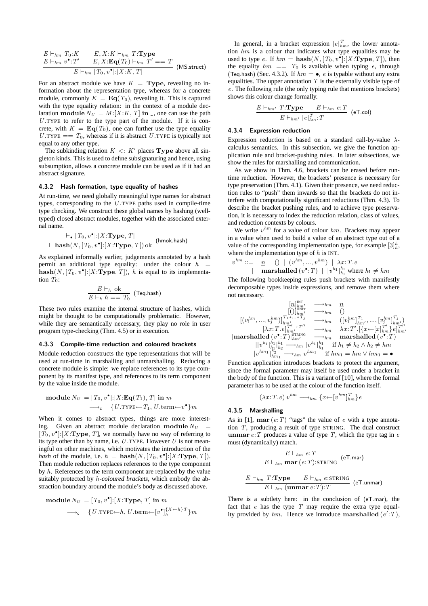$$
E \vdash_{hm} T_0:K \qquad E, X:K \vdash_{hm} T:Type
$$
  

$$
E \vdash_{hm} v^{\bullet}:T' \qquad E, X:Eq(T_0) \vdash_{hm} T' == T
$$
  

$$
E \vdash_{hm} [T_0, v^{\bullet}]: [X:K, T]
$$
 (MS.struct)

For an abstract module we have  $K = Type$ , revealing no information about the representation type, whereas for a concrete module, commonly  $K = \mathbf{Eq}(T_0)$ , revealing it. This is captured with the type equality relation: in the context of a module declaration module  $N_U = M : [X : K, T]$  in , one can use the path U.TYPE to refer to the type part of the module. If it is concrete, with  $K = \mathbf{Eq}(T_0)$ , one can further use the type equality  $U$ .TYPE ==  $T_0$ , whereas if it is abstract U.TYPE is typically not equal to any other type.

The subkinding relation  $K \ll K'$  places **Type** above all singleton kinds. This is used to define subsignaturing and hence, using subsumption, allows a concrete module can be used as if it had an abstract signature.

#### 4.3.2 Hash formation, type equality of hashes

At run-time, we need globally meaningful type names for abstract types, corresponding to the  $U$ .TYPE paths used in compile-time type checking. We construct these global names by hashing (welltyped) closed abstract modules, together with the associated external name.

$$
\vdash_{\bullet} [T_0, v^{\bullet}][X: \mathbf{Type}, T]
$$
  
 
$$
\vdash \mathbf{hash}(N, [T_0, v^{\bullet}][X: \mathbf{Type}, T]) \text{ok (hmok.hash)}
$$

As explained informally earlier, judgements annotated by a hash permit an additional type equality: under the colour  $h =$  $\mathbf{hash}(N, [T_0, v^{\bullet}]; [X: \mathbf{Type}, T]), h \text{ is equal to its implementation.}$ tion  $T_0$ :

$$
\frac{E \vdash_h \text{ok}}{E \vdash_h h == T_0} \text{ (Teq.hash)}
$$

These two rules examine the internal structure of hashes, which might be thought to be computationally problematic. However, while they are semantically necessary, they play no role in user program type-checking (Thm. 4.5) or in execution.

### 4.3.3 Compile-time reduction and coloured brackets

Module reduction constructs the type representations that will be used at run-time in marshalling and unmarshalling. Reducing a concrete module is simple: we replace references to its type component by its manifest type, and references to its term component by the value inside the module.

$$
\text{module } N_U = [T_0, v^*] : [X : \mathbf{Eq}(T_1), T] \text{ in } m
$$

$$
\longrightarrow_c \{ U.\text{Type} \leftarrow T_1, U.\text{term} \leftarrow v^* \} m
$$

When it comes to abstract types, things are more interesting. Given an abstract module declaration module  $N_U$  =  $[T_0, v^{\bullet}]$ : [X:**Type**, T], we normally have no way of referring to its type other than by name, i.e.  $U$ . TYPE. However  $U$  is not meaningful on other machines, which motivates the introduction of the hash of the module, i.e.  $h = \textbf{hash}(N, [T_0, v^{\bullet}]: [X: \textbf{Type}, T]).$ Then module reduction replaces references to the type component by h. References to the term component are replaced by the value suitably protected by h-*coloured brackets*, which embody the abstraction boundary around the module's body as discussed above.

$$
\text{module } N_U = [T_0, v^*] : [X: \text{Type}, T] \text{ in } m
$$

$$
\longrightarrow_c \{ U.\text{TYPE} \leftarrow h, U.\text{term} \leftarrow [v^*]_h^{\{X \leftarrow h\}} \right] m
$$

In general, in a bracket expression  $[e]_{hm}^T$ , the lower annotation  $hm$  is a colour that indicates what type equalities may be used to type e. If  $hm = \textbf{hash}(N, [T_0, v^{\bullet}][X:\textbf{Type}, T])$ , then the equality  $hm == T_0$  is available when typing e, through (Teq.hash) (Sec. 4.3.2). If  $hm = \bullet$ , e is typable without any extra equalities. The upper annotation  $T$  is the externally visible type of e. The following rule (the only typing rule that mentions brackets) shows this colour change formally.

$$
\frac{E \vdash_{hm'} T:\textbf{Type} \qquad E \vdash_{hm} e:T}{E \vdash_{hm'} [e]_{hm}^T:\textit{T}} \text{ (eT,col)}
$$

#### 4.3.4 Expression reduction

Expression reduction is based on a standard call-by-value  $\lambda$ calculus semantics. In this subsection, we give the function application rule and bracket-pushing rules. In later subsections, we show the rules for marshalling and communication.

As we show in Thm. 4.6, brackets can be erased before runtime reduction. However, the brackets' presence is necessary for type preservation (Thm. 4.1). Given their presence, we need reduction rules to "push" them inwards so that the brackets do not interfere with computationally significant reductions (Thm. 4.3). To describe the bracket pushing rules, and to achieve type preservation, it is necessary to index the reduction relation, class of values, and reduction contexts by colours.

We write  $v^{hm}$  for a value of colour hm. Brackets may appear in a value when used to build a value of an abstract type out of a value of the corresponding implementation type, for example  $[3]_h^h$ , where the implementation type of  $h$  is INT.

$$
\begin{array}{lll} v^{hm} ::= & \underline{n} \mid () \mid (v^{hm}, ..., v^{hm}) \mid \lambda x{:}T.e \\ & & | \quad \text{markalled} \left( v^{\bullet} {:} T \right) \mid [v^{h_1}]^{h_1}_{h_1} \text{ where } h_1 \neq hm \end{array}
$$

The following bookkeeping rules push brackets with manifestly decomposable types inside expressions, and remove them where not necessary.

$$
\begin{array}{ccccc}\n\textbf{[0]^{lm}_{hm'}} & \longrightarrow_{hm} & \underline{n} \\
\textbf{[0]^{lm'}_{hm'}} & \longrightarrow_{hm} & \textbf{[0]} \\
\textbf{[0]^{lm'}_{hm'}} & \longrightarrow_{hm} & \textbf{[0]} \\
\textbf{[v_1^{lm}, ..., v_j^{lm})]^{T_1 * ... * T_j}} & \longrightarrow_{hm} & \textbf{[v_1^{lm}]^{T_1}, ..., [v_j^{lm}]^{T_j}_{hm'}} \\
\textbf{[Ax: T. e]^{T'}_{h^{-1}} & \longrightarrow_{hm} & \lambda x: T'.[\{x \leftarrow [x]^{T'}_{h^{-1}}\}e]^{T''}_{hm'} \\
\textbf{[markalled (v^{\bullet}: T)]^{STRING}} & \longrightarrow_{hm} & \textbf{marshalled (v^{\bullet}: T)} \\
\textbf{[[v_1^{h_1}]^{h_1}_{h_1}b_2} & \longrightarrow_{hm} & \textbf{[v_1^{h_1}]^{h_1}_{h_1} & \textbf{if } h_1 \neq h_2 \land h_2 \neq hm} \\
\textbf{[v_1^{hm_1}]^{m_2}_{hm_1} & \longrightarrow_{hm} v^{hm_1} & \textbf{if } hm_1 = hm \lor hm_1 = \bullet\n\end{array}
$$

Function application introduces brackets to protect the argument, since the formal parameter may itself be used under a bracket in the body of the function. This is a variant of [10], where the formal parameter has to be used at the colour of the function itself.

$$
(\lambda x: T.e) v^{hm} \longrightarrow_{hm} \{x \leftarrow [v^{hm}]_{hm}^T\}e
$$

#### 4.3.5 Marshalling

As in [1], mar  $(e:T)$  "tags" the value of e with a type annotation T, producing a result of type STRING. The dual construct unmar  $e:T$  produces a value of type  $T$ , which the type tag in  $e$ must (dynamically) match.

$$
\frac{E \vdash_{hm} e:T}{E \vdash_{hm} \text{mar}(e:T):STRING} \text{ (eT.mar)}
$$

$$
\frac{E \vdash_{hm} T:\text{Type} \qquad E \vdash_{hm} e:\text{STRING}}{E \vdash_{hm} (\text{unmar } e:T):\text{T}} \quad (\text{eT.unnar})
$$

There is a subtlety here: in the conclusion of (eT.mar), the fact that  $e$  has the type  $T$  may require the extra type equality provided by hm. Hence we introduce marshalled  $(e';T)$ ,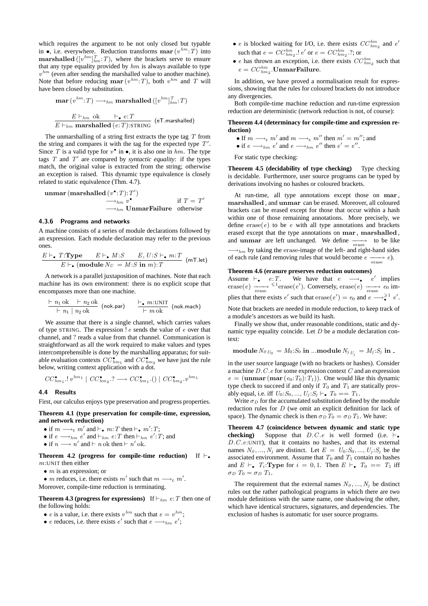which requires the argument to be not only closed but typable in •, i.e. everywhere. Reduction transforms  $\mathbf{mar}(v^{hm}:T)$  into marshalled  $([v^{hm}]_{hm}^T$ : T), where the brackets serve to ensure that any type equality provided by  $hm$  is always available to type  $v^{hm}$  (even after sending the marshalled value to another machine). Note that before reducing mar  $(v^{hm}:T)$ , both  $v^{hm}$  and T will have been closed by substitution.

$$
\begin{aligned}\n\mathbf{mar} \left( v^{hm}; T \right) &\longrightarrow_{hm} \mathbf{marshalled} \left( \left[ v^{hm} \right]_{hm}^T : T \right) \\
&\frac{E \vdash_{hm} \text{ok} \qquad \vdash_{\bullet} e : T}{E \vdash_{hm} \mathbf{marshalled} \left( e : T \right) : \text{STRING}} \text{ (eT.marshalled)}\n\end{aligned}
$$

The unmarshalling of a string first extracts the type tag  $T$  from the string and compares it with the tag for the expected type  $T'$ . Since T is a valid type for  $v^{\bullet}$  in  $\bullet$ , it is also one in hm. The type tags  $T$  and  $T'$  are compared by *syntactic equality*: if the types match, the original value is extracted from the string; otherwise an exception is raised. This dynamic type equivalence is closely related to static equivalence (Thm. 4.7).

**unmar (marshalled (v<sup>•</sup>:*T*) : *T'*)  
\n
$$
\longrightarrow_{hm} v^{\bullet}
$$
 if *T* = *T'*  
\n
$$
\longrightarrow_{hm}
$$
 **UnmarFailure** otherwise**

#### 4.3.6 Programs and networks

A machine consists of a series of module declarations followed by an expression. Each module declaration may refer to the previous ones.

$$
\frac{E\vdash_{\bullet} T:\textbf{Type}\qquad E\vdash_{\bullet} M:S\qquad E\,,\,U:S\vdash_{\bullet} m:T}{E\vdash_{\bullet} (\textbf{module } N_U\,=\,M:S\textbf{ in }m)\,:\,T} \;\;(\text{mT.left})
$$

A network is a parallel juxtaposition of machines. Note that each machine has its own environment: there is no explicit scope that encompasses more than one machine.

$$
\frac{\vdash n_1 \text{ ok } \vdash n_2 \text{ ok}}{\vdash n_1 \mid n_2 \text{ ok }} (\text{nok.par}) \qquad \frac{\vdash_{\bullet} m: \text{UNIT}}{\vdash m \text{ ok }} (\text{nok.mach})
$$

We assume that there is a single channel, which carries values of type STRING. The expression  $\ell$  e sends the value of e over that channel, and ? reads a value from that channel. Communication is straightforward as all the work required to make values and types intercomprehensible is done by the marshalling apparatus; for suitable evaluation contexts  $CC^{\bullet}_{hm_1}$  and  $CC^{\bullet}_{hm_2}$  we have just the rule below, writing context application with a dot.

$$
CC^{\bullet}_{hm_1} \cdot v^{hm_1} \mid CC^{\bullet}_{hm_2} \cdot ? \longrightarrow CC^{\bullet}_{hm_1} \cdot () \mid CC^{\bullet}_{hm_2} \cdot v^{hm_1}
$$

#### 4.4 Results

First, our calculus enjoys type preservation and progress properties.

# **Theorem 4.1 (type preservation for compile-time, expression, and network reduction)**

- if  $m \longrightarrow_c m'$  and  $\vdash$   $m$ : T then  $\vdash$   $m'$ : T;
- if  $e \longrightarrow_{hm} e'$  and  $\vdash_{hm} e:T$  then  $\vdash_{hm} e':T$ ; and
- if  $n \longrightarrow n'$  and  $\vdash n$  ok then  $\vdash n'$  ok.

#### **Theorem 4.2** (progress for compile-time reduction) If  $\vdash$ .  $m$ <sup>.</sup>UNIT then either

- $\bullet$  *m* is an expression; or
- *m* reduces, i.e. there exists  $m'$  such that  $m \rightarrow_c m'$ .
- Moreover, compile-time reduction is terminating.

**Theorem 4.3 (progress for expressions)** If  $\vdash_{hm} e: T$  then one of the following holds:

- *e* is a value, i.e. there exists  $v^{hm}$  such that  $e = v^{hm}$ ;
- e reduces, i.e. there exists  $e'$  such that  $e \longrightarrow_{hm} e'$ ;
- *e* is blocked waiting for I/O, i.e. there exists  $CC_{hm_2}^{hm}$  and  $e'$ such that  $e = CC_{hm_2}^{hm}$ .!  $e'$  or  $e = CC_{hm_2}^{hm}$ .?; or
- e has thrown an exception, i.e. there exists  $CC_{hm_2}^{hm}$  such that  $e = CC_{hm_2}^{hm}$ . UnmarFailure.

In addition, we have proved a normalisation result for expressions, showing that the rules for coloured brackets do not introduce any divergencies.

Both compile-time machine reduction and run-time expression reduction are deterministic (network reduction is not, of course):

#### **Theorem 4.4 (determinacy for compile-time and expression reduction)**

- If  $m \longrightarrow_c m'$  and  $m \longrightarrow_c m''$  then  $m' = m''$ ; and
- if  $e \longrightarrow_{hm} e'$  and  $e \longrightarrow_{hm} e''$  then  $e' = e''$ .

For static type checking:

**Theorem 4.5 (decidability of type checking)** Type checking is decidable. Furthermore, user source programs can be typed by derivations involving no hashes or coloured brackets.

At run-time, all type annotations except those on mar , marshalled , and unmar can be erased. Moreover, all coloured brackets can be erased except for those that occur within a hash within one of those remaining annotations. More precisely, we define  $erase(e)$  to be e with all type annotations and brackets erased except that the type annotations on mar , marshalled , and unmar are left unchanged. We define  $\longrightarrow$  to be like  $\rightarrow_{hm}$  by taking the erase-image of the left- and right-hand sides of each rule (and removing rules that would become  $e \longrightarrow e$ ).

# **Theorem 4.6 (erasure preserves reduction outcomes)**

Assume  $\vdash$  e: T. We have that  $e \rightarrow$  e' implies erase(e)  $\longrightarrow$ <sup> $\leq 1$ </sup>erase(e'). Conversely, erase(e)  $\longrightarrow$ e<sub>0</sub> implies that there exists  $e'$  such that  $\text{erase}(e') = e_0$  and  $e \longrightarrow_{\bullet}^{\geq 1} e'$ .

Note that brackets are needed in module reduction, to keep track of a module's ancestors as we build its hash.

Finally we show that, under reasonable conditions, static and dynamic type equality coincide. Let  $D$  be a module declaration context:

 $\mathbf{module}\,N_{\theta\,U_0}\,=M_0\mathord{:}S_0\,\,\mathbf{in}\,...\mathbf{module}\,N_{j\,U_j}\,=M_j\mathord{:}S_j\,\,\mathbf{in}$ 

in the user source language (with no brackets or hashes). Consider a machine  $D.C.e$  for some expression context  $C$  and an expression  $e = (\text{unmar}(\text{mar}(e_0: T_0): T_1))$ . One would like this dynamic type check to succeed if and only if  $T_0$  and  $T_1$  are statically provably equal, i.e. iff  $U_0: S_0, ..., U_i: S_i \vdash_{\bullet} T_0 == T_1$ .

Write  $\sigma_D$  for the accumulated substitution defined by the module reduction rules for  $D$  (we omit an explicit definition for lack of space). The dynamic check is then  $\sigma_D T_0 = \sigma_D T_1$ . We have:

**Theorem 4.7 (coincidence between dynamic and static type checking**) Suppose that  $D.C.e$  is well formed (i.e.  $\vdash_{\bullet}$ D.C.e:UNIT), that it contains no hashes, and that its external names  $N_0, \ldots, N_i$  are distinct. Let  $E = U_0: S_0, \ldots, U_i: S_i$  be the associated environment. Assume that  $T_0$  and  $T_1$  contain no hashes and  $E \vdash_{\bullet} T_i: \textbf{Type for } i = 0, 1.$  Then  $E \vdash_{\bullet} T_0 == T_1$  iff  $\sigma_D$   $T_0 = \sigma_D$   $T_1$ .

The requirement that the external names  $N_0, ..., N_j$  be distinct rules out the rather pathological programs in which there are two module definitions with the same name, one shadowing the other, which have identical structures, signatures, and dependencies. The exclusion of hashes is automatic for user source programs.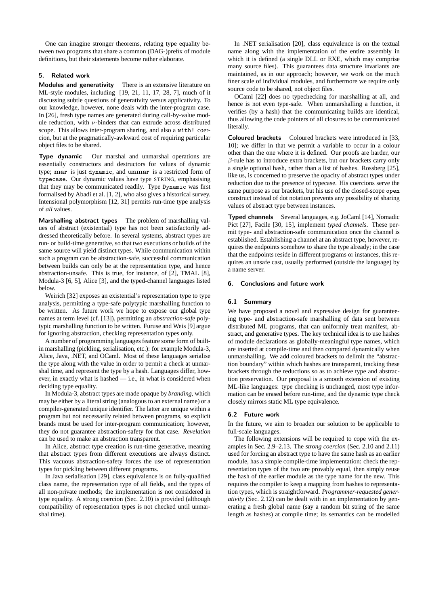One can imagine stronger theorems, relating type equality between two programs that share a common (DAG-)prefix of module definitions, but their statements become rather elaborate.

# 5. Related work

Modules and generativity There is an extensive literature on ML-style modules, including [19, 21, 11, 17, 28, 7], much of it discussing subtle questions of generativity versus applicativity. To our knowledge, however, none deals with the inter-program case. In [26], fresh type names are generated during call-by-value module reduction, with  $\nu$ -binders that can extrude across distributed scope. This allows inter-program sharing, and also a with! coercion, but at the pragmatically-awkward cost of requiring particular object files to be shared.

Type dynamic Our marshal and unmarshal operations are essentially constructors and destructors for values of dynamic type; mar is just dynamic, and unmar is a restricted form of typecase. Our dynamic values have type STRING, emphasising that they may be communicated readily. Type Dynamic was first formalised by Abadi et al. [1, 2], who also gives a historical survey. Intensional polymorphism [12, 31] permits run-time type analysis of *all* values.

Marshalling abstract types The problem of marshalling values of abstract (existential) type has not been satisfactorily addressed theoretically before. In several systems, abstract types are run- or build-time generative, so that two executions or builds of the same source will yield distinct types. While communication within such a program can be abstraction-safe, successful communication between builds can only be at the representation type, and hence abstraction-unsafe. This is true, for instance, of [2], TMAL [8], Modula-3 [6, 5], Alice [3], and the typed-channel languages listed below.

Weirich [32] exposes an existential's representation type to type analysis, permitting a type-safe polytypic marshalling function to be written. As future work we hope to expose our global type names at term level (cf. [13]), permitting an *abstraction-safe* polytypic marshalling function to be written. Furuse and Weis [9] argue for ignoring abstraction, checking representation types only.

A number of programming languages feature some form of builtin marshalling (pickling, serialisation, etc.): for example Modula-3, Alice, Java, .NET, and OCaml. Most of these languages serialise the type along with the value in order to permit a check at unmarshal time, and represent the type by a hash. Languages differ, however, in exactly what is hashed  $-$  i.e., in what is considered when deciding type equality.

In Modula-3, abstract types are made opaque by *branding*, which may be either by a literal string (analogous to an external name) or a compiler-generated unique identifier. The latter are unique within a program but not necessarily related between programs, so explicit brands must be used for inter-program communication; however, they do not guarantee abstraction-safety for that case. *Revelation* can be used to make an abstraction transparent.

In Alice, abstract type creation is run-time generative, meaning that abstract types from different executions are always distinct. This vacuous abstraction-safety forces the use of representation types for pickling between different programs.

In Java serialisation [29], class equivalence is on fully-qualified class name, the representation type of all fields, and the types of all non-private methods; the implementation is not considered in type equality. A strong coercion (Sec. 2.10) is provided (although compatibility of representation types is not checked until unmarshal time).

In .NET serialisation [20], class equivalence is on the textual name along with the implementation of the entire assembly in which it is defined (a single DLL or EXE, which may comprise many source files). This guarantees data structure invariants are maintained, as in our approach; however, we work on the much finer scale of individual modules, and furthermore we require only source code to be shared, not object files.

OCaml [22] does no typechecking for marshalling at all, and hence is not even type-safe. When unmarshalling a function, it verifies (by a hash) that the communicating builds are identical, thus allowing the code pointers of all closures to be communicated literally.

Coloured brackets Coloured brackets were introduced in [33, 10]; we differ in that we permit a variable to occur in a colour other than the one where it is defined. Our proofs are harder, our  $\beta$ -rule has to introduce extra brackets, but our brackets carry only a single optional hash, rather than a list of hashes. Rossberg [25], like us, is concerned to preserve the opacity of abstract types under reduction due to the presence of typecase. His coercions serve the same purpose as our brackets, but his use of the closed-scope open construct instead of dot notation prevents any possibility of sharing values of abstract type between instances.

Typed channels Several languages, e.g. JoCaml [14], Nomadic Pict [27], Facile [30, 15], implement *typed channels*. These permit type- and abstraction-safe communication once the channel is established. Establishing a channel at an abstract type, however, requires the endpoints somehow to share the type already; in the case that the endpoints reside in different programs or instances, this requires an unsafe cast, usually performed (outside the language) by a name server.

# 6. Conclusions and future work

# 6.1 Summary

We have proposed a novel and expressive design for guaranteeing type- and abstraction-safe marshalling of data sent between distributed ML programs, that can uniformly treat manifest, abstract, and generative types. The key technical idea is to use hashes of module declarations as globally-meaningful type names, which are inserted at compile-time and then compared dynamically when unmarshalling. We add coloured brackets to delimit the "abstraction boundary" within which hashes are transparent, tracking these brackets through the reductions so as to achieve type and abstraction preservation. Our proposal is a smooth extension of existing ML-like languages: type checking is unchanged, most type information can be erased before run-time, and the dynamic type check closely mirrors static ML type equivalence.

# 6.2 Future work

In the future, we aim to broaden our solution to be applicable to full-scale languages.

The following extensions will be required to cope with the examples in Sec. 2.9–2.13. The *strong coercion* (Sec. 2.10 and 2.11) used for forcing an abstract type to have the same hash as an earlier module, has a simple compile-time implementation: check the representation types of the two are provably equal, then simply reuse the hash of the earlier module as the type name for the new. This requires the compiler to keep a mapping from hashes to representation types, which is straightforward. *Programmer-requested generativity* (Sec. 2.12) can be dealt with in an implementation by generating a fresh global name (say a random bit string of the same length as hashes) at compile time; its semantics can be modelled